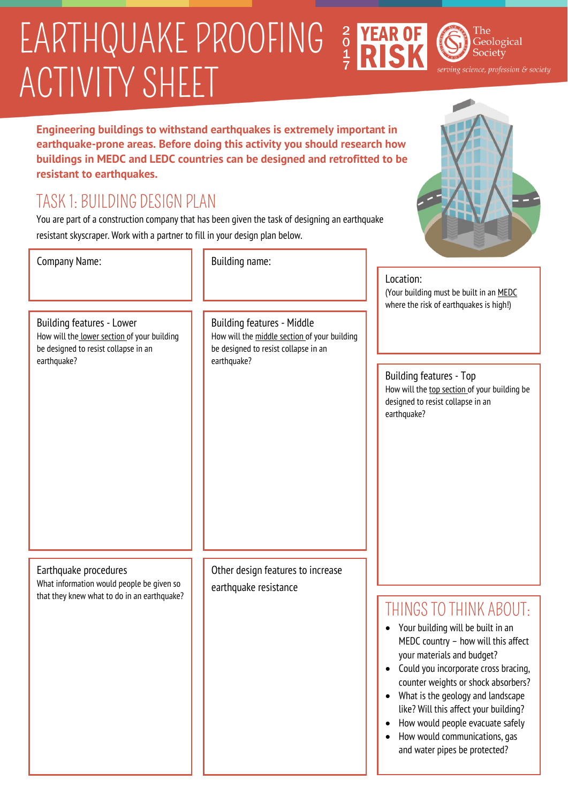# ACTIVITY SHEET EARTHQUAKE PROOFING 3 YEAR O

The Geological Society

ing science, profession & society

**Engineering buildings to withstand earthquakes is extremely important in earthquake-prone areas. Before doing this activity you should research how buildings in MEDC and LEDC countries can be designed and retrofitted to be resistant to earthquakes.**

# TASK 1: BUILDING DESIGN PLAN

You are part of a construction company that has been given the task of designing an earthquake resistant skyscraper. Work with a partner to fill in your design plan below.